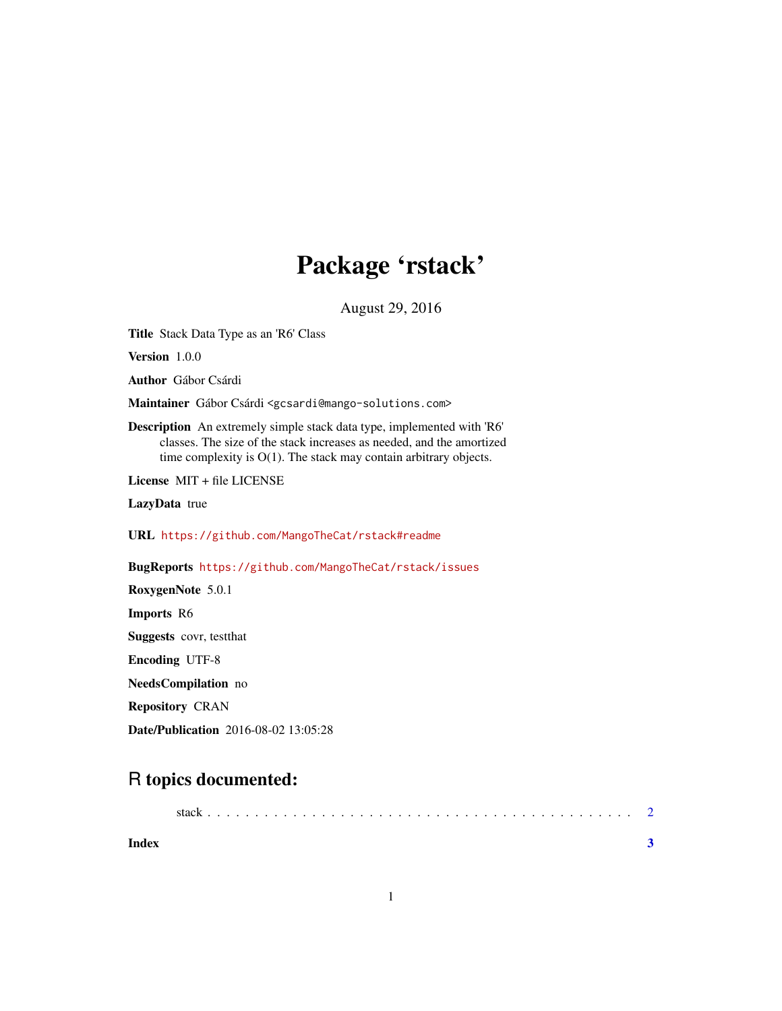## Package 'rstack'

August 29, 2016

Title Stack Data Type as an 'R6' Class

Version 1.0.0

Author Gábor Csárdi

Maintainer Gábor Csárdi <gcsardi@mango-solutions.com>

Description An extremely simple stack data type, implemented with 'R6' classes. The size of the stack increases as needed, and the amortized time complexity is O(1). The stack may contain arbitrary objects.

License MIT + file LICENSE

LazyData true

URL <https://github.com/MangoTheCat/rstack#readme>

BugReports <https://github.com/MangoTheCat/rstack/issues>

RoxygenNote 5.0.1 Imports R6 Suggests covr, testthat Encoding UTF-8 NeedsCompilation no Repository CRAN Date/Publication 2016-08-02 13:05:28

### R topics documented:

|       | stack |  |  |  |  |  |  |  |  |  |  |  |  |  |  |  |  |  |  |
|-------|-------|--|--|--|--|--|--|--|--|--|--|--|--|--|--|--|--|--|--|
| Index |       |  |  |  |  |  |  |  |  |  |  |  |  |  |  |  |  |  |  |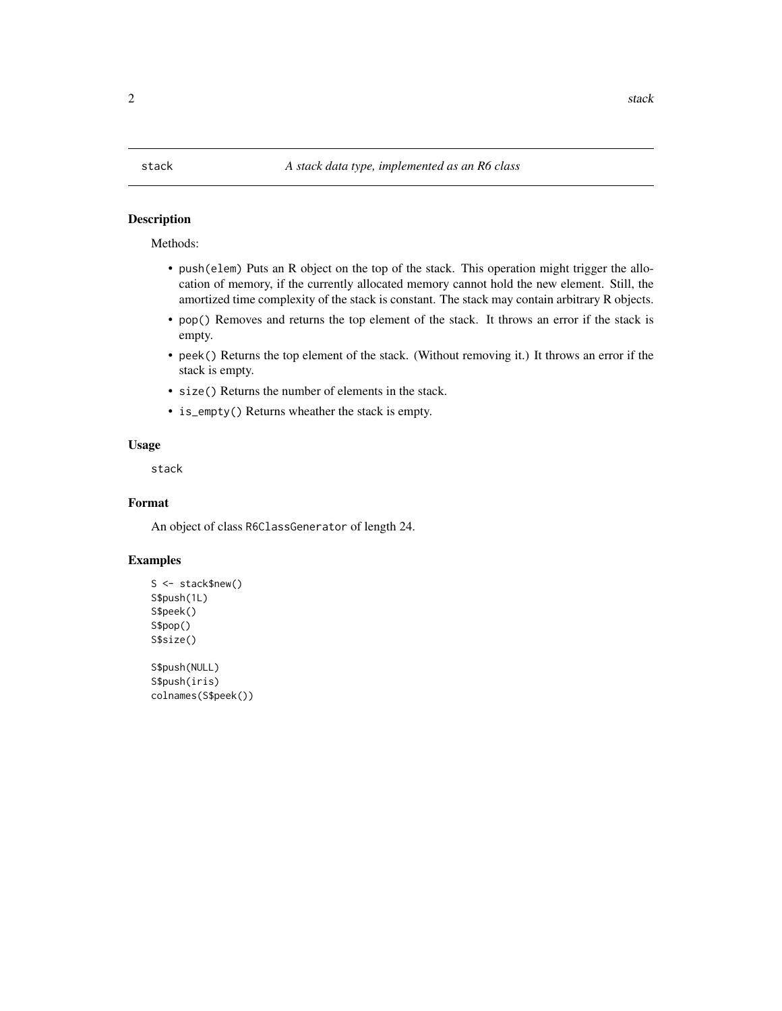#### <span id="page-1-0"></span>Description

Methods:

- push(elem) Puts an R object on the top of the stack. This operation might trigger the allocation of memory, if the currently allocated memory cannot hold the new element. Still, the amortized time complexity of the stack is constant. The stack may contain arbitrary R objects.
- pop() Removes and returns the top element of the stack. It throws an error if the stack is empty.
- peek() Returns the top element of the stack. (Without removing it.) It throws an error if the stack is empty.
- size() Returns the number of elements in the stack.
- is\_empty() Returns wheather the stack is empty.

#### Usage

stack

#### Format

An object of class R6ClassGenerator of length 24.

#### Examples

```
S <- stack$new()
S$push(1L)
S$peek()
S$pop()
S$size()
S$push(NULL)
S$push(iris)
colnames(S$peek())
```